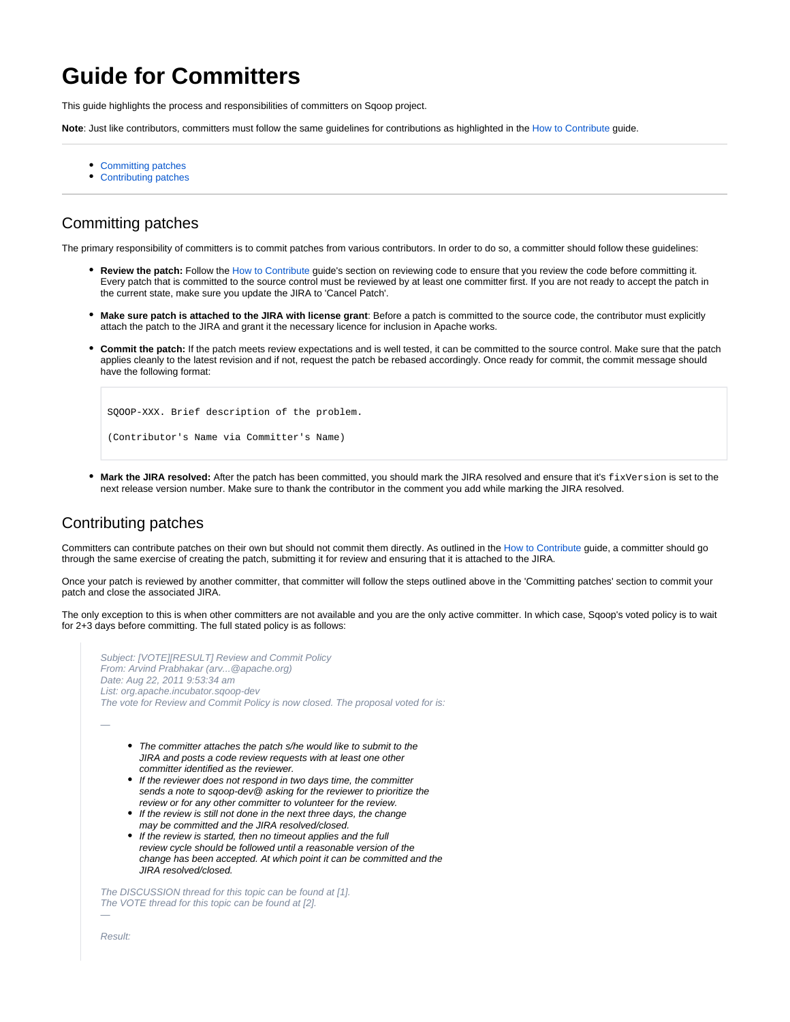## **Guide for Committers**

This guide highlights the process and responsibilities of committers on Sqoop project.

**Note**: Just like contributors, committers must follow the same guidelines for contributions as highlighted in the [How to Contribute](https://cwiki.apache.org/confluence/display/SQOOP/How+to+Contribute) guide.

- [Committing patches](#page-0-0)
- [Contributing patches](#page-0-1)

## <span id="page-0-0"></span>Committing patches

The primary responsibility of committers is to commit patches from various contributors. In order to do so, a committer should follow these guidelines:

- **Review the patch:** Follow the [How to Contribute](https://cwiki.apache.org/confluence/display/SQOOP/How+to+Contribute) guide's section on reviewing code to ensure that you review the code before committing it. Every patch that is committed to the source control must be reviewed by at least one committer first. If you are not ready to accept the patch in the current state, make sure you update the JIRA to 'Cancel Patch'.
- **Make sure patch is attached to the JIRA with license grant**: Before a patch is committed to the source code, the contributor must explicitly attach the patch to the JIRA and grant it the necessary licence for inclusion in Apache works.
- **Commit the patch:** If the patch meets review expectations and is well tested, it can be committed to the source control. Make sure that the patch applies cleanly to the latest revision and if not, request the patch be rebased accordingly. Once ready for commit, the commit message should have the following format:

```
SQOOP-XXX. Brief description of the problem.
(Contributor's Name via Committer's Name)
```
Mark the JIRA resolved: After the patch has been committed, you should mark the JIRA resolved and ensure that it's fixVersion is set to the next release version number. Make sure to thank the contributor in the comment you add while marking the JIRA resolved.

## <span id="page-0-1"></span>Contributing patches

Committers can contribute patches on their own but should not commit them directly. As outlined in the [How to Contribute](https://cwiki.apache.org/confluence/display/SQOOP/How+to+Contribute) guide, a committer should go through the same exercise of creating the patch, submitting it for review and ensuring that it is attached to the JIRA.

Once your patch is reviewed by another committer, that committer will follow the steps outlined above in the 'Committing patches' section to commit your patch and close the associated JIRA.

The only exception to this is when other committers are not available and you are the only active committer. In which case, Sqoop's voted policy is to wait for 2+3 days before committing. The full stated policy is as follows:

```
Subject: [VOTE][RESULT] Review and Commit Policy 
From: Arvind Prabhakar (arv...@apache.org)
Date: Aug 22, 2011 9:53:34 am
List: org.apache.incubator.sqoop-dev
The vote for Review and Commit Policy is now closed. The proposal voted for is:
—
      • The committer attaches the patch s/he would like to submit to the
         JIRA and posts a code review requests with at least one other
         committer identified as the reviewer.
      • If the reviewer does not respond in two days time, the committer
         sends a note to sqoop-dev@ asking for the reviewer to prioritize the
         review or for any other committer to volunteer for the review.
      • If the review is still not done in the next three days, the change
        may be committed and the JIRA resolved/closed.
      • If the review is started, then no timeout applies and the full
         review cycle should be followed until a reasonable version of the
         change has been accepted. At which point it can be committed and the
         JIRA resolved/closed.
The DISCUSSION thread for this topic can be found at [1].
The VOTE thread for this topic can be found at [2].
—
Result:
```